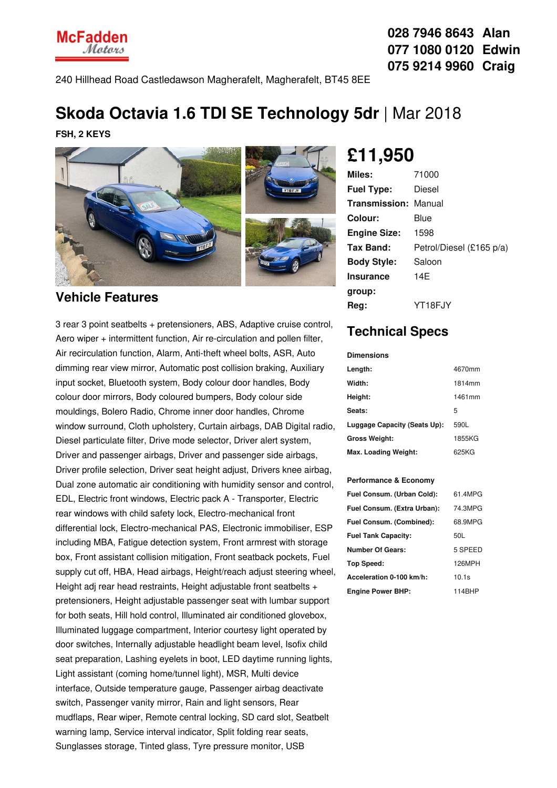**McFadden** Matans

**028 7946 8643 Alan 077 1080 0120 Edwin 075 9214 9960 Craig**

240 Hillhead Road Castledawson Magherafelt, Magherafelt, BT45 8EE

## **Skoda Octavia 1.6 TDI SE Technology 5dr** | Mar 2018

**FSH, 2 KEYS**



### **Vehicle Features**

3 rear 3 point seatbelts + pretensioners, ABS, Adaptive cruise control, Aero wiper + intermittent function, Air re-circulation and pollen filter, Air recirculation function, Alarm, Anti-theft wheel bolts, ASR, Auto dimming rear view mirror, Automatic post collision braking, Auxiliary input socket, Bluetooth system, Body colour door handles, Body colour door mirrors, Body coloured bumpers, Body colour side mouldings, Bolero Radio, Chrome inner door handles, Chrome window surround, Cloth upholstery, Curtain airbags, DAB Digital radio, Diesel particulate filter, Drive mode selector, Driver alert system, Driver and passenger airbags, Driver and passenger side airbags, Driver profile selection, Driver seat height adjust, Drivers knee airbag, Dual zone automatic air conditioning with humidity sensor and control, EDL, Electric front windows, Electric pack A - Transporter, Electric rear windows with child safety lock, Electro-mechanical front differential lock, Electro-mechanical PAS, Electronic immobiliser, ESP including MBA, Fatigue detection system, Front armrest with storage box, Front assistant collision mitigation, Front seatback pockets, Fuel supply cut off, HBA, Head airbags, Height/reach adjust steering wheel, Height adj rear head restraints, Height adjustable front seatbelts + pretensioners, Height adjustable passenger seat with lumbar support for both seats, Hill hold control, Illuminated air conditioned glovebox, Illuminated luggage compartment, Interior courtesy light operated by door switches, Internally adjustable headlight beam level, Isofix child seat preparation, Lashing eyelets in boot, LED daytime running lights, Light assistant (coming home/tunnel light), MSR, Multi device interface, Outside temperature gauge, Passenger airbag deactivate switch, Passenger vanity mirror, Rain and light sensors, Rear mudflaps, Rear wiper, Remote central locking, SD card slot, Seatbelt warning lamp, Service interval indicator, Split folding rear seats, Sunglasses storage, Tinted glass, Tyre pressure monitor, USB

# **£11,950**

| Miles:                      | 71000                    |
|-----------------------------|--------------------------|
| <b>Fuel Type:</b>           | Diesel                   |
| <b>Transmission: Manual</b> |                          |
| Colour:                     | Blue                     |
| <b>Engine Size:</b>         | 1598                     |
| Tax Band:                   | Petrol/Diesel (£165 p/a) |
| <b>Body Style:</b>          | Saloon                   |
| <b>Insurance</b>            | 14F                      |
| group:                      |                          |
| Reg:                        | YT18FJY                  |

## **Technical Specs**

**Dimensions**

| ишензклэ                     |        |
|------------------------------|--------|
| Length:                      | 4670mm |
| Width:                       | 1814mm |
| Height:                      | 1461mm |
| Seats:                       | 5      |
| Luggage Capacity (Seats Up): | 590L   |
| <b>Gross Weight:</b>         | 1855KG |
| Max. Loading Weight:         | 625KG  |

#### **Performance & Economy**

| Fuel Consum. (Urban Cold):  | 61.4MPG |
|-----------------------------|---------|
| Fuel Consum. (Extra Urban): | 74.3MPG |
| Fuel Consum. (Combined):    | 68.9MPG |
| <b>Fuel Tank Capacity:</b>  | 50L     |
| <b>Number Of Gears:</b>     | 5 SPEED |
| <b>Top Speed:</b>           | 126MPH  |
| Acceleration 0-100 km/h:    | 10.1s   |
| <b>Engine Power BHP:</b>    | 114BHP  |